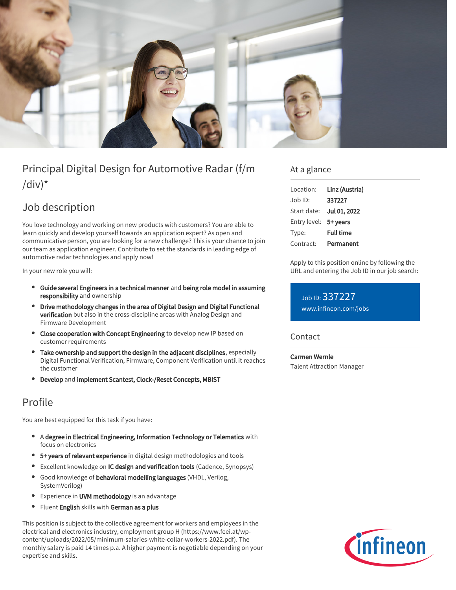

# Principal Digital Design for Automotive Radar (f/m  $\frac{1}{d}$

# Job description

You love technology and working on new products with customers? You are able to learn quickly and develop yourself towards an application expert? As open and communicative person, you are looking for a new challenge? This is your chance to join our team as application engineer. Contribute to set the standards in leading edge of automotive radar technologies and apply now!

In your new role you will:

- **•** Guide several Engineers in a technical manner and being role model in assuming responsibility and ownership
- Drive methodology changes in the area of Digital Design and Digital Functional verification but also in the cross-discipline areas with Analog Design and Firmware Development
- Close cooperation with Concept Engineering to develop new IP based on customer requirements
- Take ownership and support the design in the adjacent disciplines, especially Digital Functional Verification, Firmware, Component Verification until it reaches the customer
- Develop and implement Scantest, Clock-/Reset Concepts, MBIST

## Profile

You are best equipped for this task if you have:

- A degree in Electrical Engineering, Information Technology or Telematics with focus on electronics
- 5+ years of relevant experience in digital design methodologies and tools
- **Excellent knowledge on IC design and verification tools (Cadence, Synopsys)**
- Good knowledge of behavioral modelling languages (VHDL, Verilog, SystemVerilog)
- $\bullet$ Experience in UVM methodology is an advantage
- $\bullet$ Fluent English skills with German as a plus

This position is subject to the collective agreement for workers and employees in the electrical and electronics industry, employment group H (https://www.feei.at/wpcontent/uploads/2022/05/minimum-salaries-white-collar-workers-2022.pdf). The monthly salary is paid 14 times p.a. A higher payment is negotiable depending on your expertise and skills.

#### At a glance

| Location:    | Linz (Austria)   |
|--------------|------------------|
| Job ID:      | 337227           |
| Start date:  | Jul 01, 2022     |
| Entry level: | 5+ years         |
| Type:        | <b>Full time</b> |
| Contract:    | Permanent        |

Apply to this position online by following the URL and entering the Job ID in our job search:

Job ID: 337227 [www.infineon.com/jobs](https://www.infineon.com/jobs)

#### **Contact**

Carmen Wernle Talent Attraction Manager

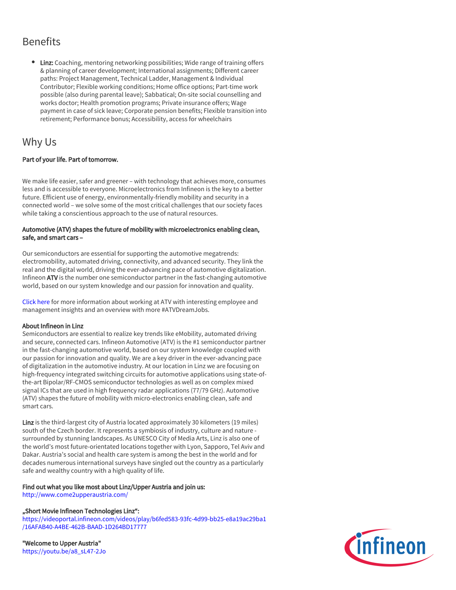## **Benefits**

• Linz: Coaching, mentoring networking possibilities; Wide range of training offers & planning of career development; International assignments; Different career paths: Project Management, Technical Ladder, Management & Individual Contributor; Flexible working conditions; Home office options; Part-time work possible (also during parental leave); Sabbatical; On-site social counselling and works doctor; Health promotion programs; Private insurance offers; Wage payment in case of sick leave; Corporate pension benefits; Flexible transition into retirement; Performance bonus; Accessibility, access for wheelchairs

### Why Us

#### Part of your life. Part of tomorrow.

We make life easier, safer and greener – with technology that achieves more, consumes less and is accessible to everyone. Microelectronics from Infineon is the key to a better future. Efficient use of energy, environmentally-friendly mobility and security in a connected world – we solve some of the most critical challenges that our society faces while taking a conscientious approach to the use of natural resources.

#### Automotive (ATV) shapes the future of mobility with microelectronics enabling clean, safe, and smart cars –

Our semiconductors are essential for supporting the automotive megatrends: electromobility, automated driving, connectivity, and advanced security. They link the real and the digital world, driving the ever-advancing pace of automotive digitalization. Infineon ATV is the number one semiconductor partner in the fast-changing automotive world, based on our system knowledge and our passion for innovation and quality.

[Click here](https://www.infineon.com/cms/en/careers/working-at-infineon/atvdreamjob/) for more information about working at ATV with interesting employee and management insights and an overview with more #ATVDreamJobs.

#### About Infineon in Linz

Semiconductors are essential to realize key trends like eMobility, automated driving and secure, connected cars. Infineon Automotive (ATV) is the #1 semiconductor partner in the fast-changing automotive world, based on our system knowledge coupled with our passion for innovation and quality. We are a key driver in the ever-advancing pace of digitalization in the automotive industry. At our location in Linz we are focusing on high-frequency integrated switching circuits for automotive applications using state-ofthe-art Bipolar/RF-CMOS semiconductor technologies as well as on complex mixed signal ICs that are used in high frequency radar applications (77/79 GHz). Automotive (ATV) shapes the future of mobility with micro-electronics enabling clean, safe and smart cars.

Linz is the third-largest city of Austria located approximately 30 kilometers (19 miles) south of the Czech border. It represents a symbiosis of industry, culture and nature surrounded by stunning landscapes. As UNESCO City of Media Arts, Linz is also one of the world's most future-orientated locations together with Lyon, Sapporo, Tel Aviv and Dakar. Austria's social and health care system is among the best in the world and for decades numerous international surveys have singled out the country as a particularly safe and wealthy country with a high quality of life.

#### Find out what you like most about Linz/Upper Austria and join us:

<http://www.come2upperaustria.com/>

#### "Short Movie Infineon Technologies Linz":

[https://videoportal.infineon.com/videos/play/b6fed583-93fc-4d99-bb25-e8a19ac29ba1](https://videoportal.infineon.com/videos/play/b6fed583-93fc-4d99-bb25-e8a19ac29ba1/16AFAB40-A4BE-462B-BAAD-1D264BD17777) [/16AFAB40-A4BE-462B-BAAD-1D264BD17777](https://videoportal.infineon.com/videos/play/b6fed583-93fc-4d99-bb25-e8a19ac29ba1/16AFAB40-A4BE-462B-BAAD-1D264BD17777)

"Welcome to Upper Austria" [https://youtu.be/a8\\_sL47-2Jo](https://youtu.be/a8_sL47-2Jo)